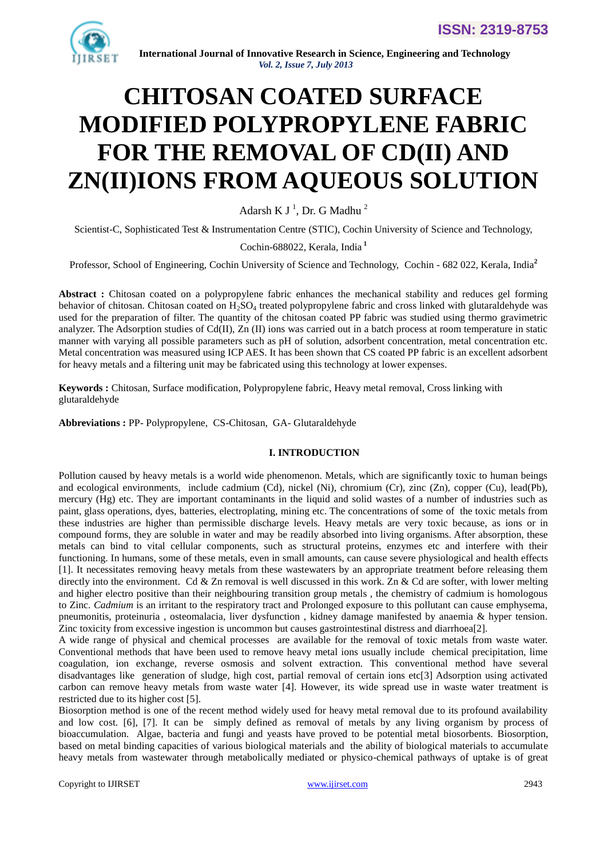

# **CHITOSAN COATED SURFACE MODIFIED POLYPROPYLENE FABRIC FOR THE REMOVAL OF CD(II) AND ZN(II)IONS FROM AQUEOUS SOLUTION**

Adarsh K J<sup> $1$ </sup>, Dr. G Madhu<sup>2</sup>

Scientist-C, Sophisticated Test & Instrumentation Centre (STIC), Cochin University of Science and Technology,

## Cochin-688022, Kerala, India **<sup>1</sup>**

Professor, School of Engineering, Cochin University of Science and Technology, Cochin - 682 022, Kerala, India**<sup>2</sup>**

**Abstract :** Chitosan coated on a polypropylene fabric enhances the mechanical stability and reduces gel forming behavior of chitosan. Chitosan coated on  $H_2SO_4$  treated polypropylene fabric and cross linked with glutaraldehyde was used for the preparation of filter. The quantity of the chitosan coated PP fabric was studied using thermo gravimetric analyzer. The Adsorption studies of Cd(II), Zn (II) ions was carried out in a batch process at room temperature in static manner with varying all possible parameters such as pH of solution, adsorbent concentration, metal concentration etc. Metal concentration was measured using ICP AES. It has been shown that CS coated PP fabric is an excellent adsorbent for heavy metals and a filtering unit may be fabricated using this technology at lower expenses.

**Keywords :** Chitosan, Surface modification, Polypropylene fabric, Heavy metal removal, Cross linking with glutaraldehyde

**Abbreviations :** PP- Polypropylene, CS-Chitosan, GA- Glutaraldehyde

## **I. INTRODUCTION**

Pollution caused by heavy metals is a world wide phenomenon. Metals, which are significantly toxic to human beings and ecological environments, include cadmium (Cd), nickel (Ni), chromium (Cr), zinc (Zn), copper (Cu), lead(Pb), mercury (Hg) etc. They are important contaminants in the liquid and solid wastes of a number of industries such as paint, glass operations, dyes, batteries, electroplating, mining etc. The concentrations of some of the toxic metals from these industries are higher than permissible discharge levels. Heavy metals are very toxic because, as ions or in compound forms, they are soluble in water and may be readily absorbed into living organisms. After absorption, these metals can bind to vital cellular components, such as structural proteins, enzymes etc and interfere with their functioning. In humans, some of these metals, even in small amounts, can cause severe physiological and health effects [1]. It necessitates removing heavy metals from these wastewaters by an appropriate treatment before releasing them directly into the environment. Cd & Zn removal is well discussed in this work. Zn & Cd are softer, with lower melting and higher electro positive than their neighbouring transition group metals , the chemistry of cadmium is homologous to Zinc. *Cadmium* is an irritant to the respiratory tract and Prolonged exposure to this pollutant can cause emphysema, pneumonitis, proteinuria , osteomalacia, liver dysfunction , kidney damage manifested by anaemia & hyper tension. Zinc toxicity from excessive ingestion is uncommon but causes gastrointestinal distress and diarrhoea[2].

A wide range of physical and chemical processes are available for the removal of toxic metals from waste water. Conventional methods that have been used to remove heavy metal ions usually include chemical precipitation, lime coagulation, ion exchange, reverse osmosis and solvent extraction. This conventional method have several disadvantages like generation of sludge, high cost, partial removal of certain ions etc[3] Adsorption using activated carbon can remove heavy metals from waste water [4]. However, its wide spread use in waste water treatment is restricted due to its higher cost [5].

Biosorption method is one of the recent method widely used for heavy metal removal due to its profound availability and low cost. [6], [7]. It can be simply defined as removal of metals by any living organism by process of bioaccumulation. Algae, bacteria and fungi and yeasts have proved to be potential metal biosorbents. Biosorption, based on metal binding capacities of various biological materials and the ability of biological materials to accumulate heavy metals from wastewater through metabolically mediated or physico-chemical pathways of uptake is of great

Copyright to IJIRSET [www.ijirset.com](http://www.ijirset.com/) 2943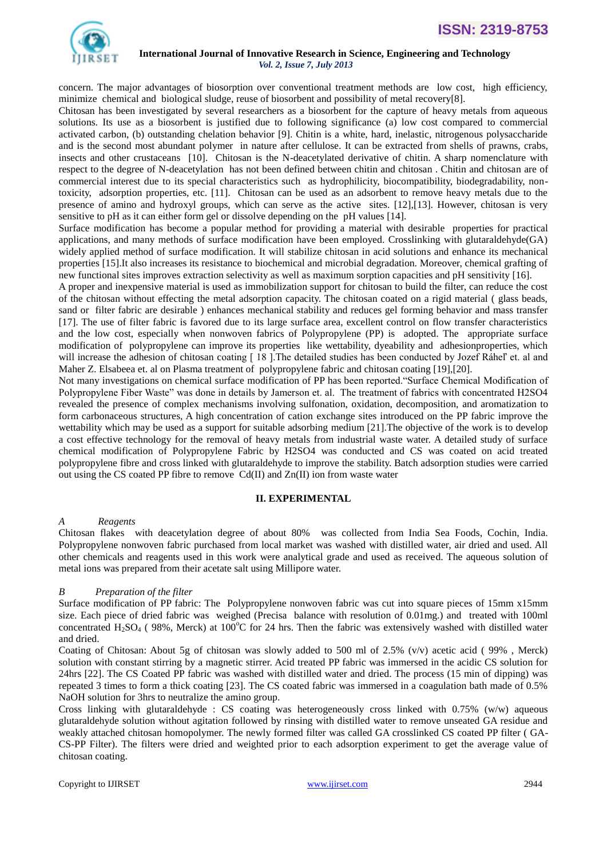

concern. The major advantages of biosorption over conventional treatment methods are low cost, high efficiency, minimize chemical and biological sludge, reuse of biosorbent and possibility of metal recovery[8].

Chitosan has been investigated by several researchers as a biosorbent for the capture of heavy metals from aqueous solutions. Its use as a biosorbent is justified due to following significance (a) low cost compared to commercial activated carbon, (b) outstanding chelation behavior [9]. Chitin is a white, hard, inelastic, nitrogenous polysaccharide and is the second most abundant polymer in nature after cellulose. It can be extracted from shells of prawns, crabs, insects and other crustaceans [10]. Chitosan is the N-deacetylated derivative of chitin. A sharp nomenclature with respect to the degree of N-deacetylation has not been defined between chitin and chitosan . Chitin and chitosan are of commercial interest due to its special characteristics such as hydrophilicity, biocompatibility, biodegradability, nontoxicity, adsorption properties, etc. [11]. Chitosan can be used as an adsorbent to remove heavy metals due to the presence of amino and hydroxyl groups, which can serve as the active sites. [12],[13]. However, chitosan is very sensitive to pH as it can either form gel or dissolve depending on the pH values [14].

Surface modification has become a popular method for providing a material with desirable properties for practical applications, and many methods of surface modification have been employed. Crosslinking with glutaraldehyde(GA) widely applied method of surface modification. It will stabilize chitosan in acid solutions and enhance its mechanical properties [15].It also increases its resistance to biochemical and microbial degradation. Moreover, chemical grafting of new functional sites improves extraction selectivity as well as maximum sorption capacities and pH sensitivity [16].

A proper and inexpensive material is used as immobilization support for chitosan to build the filter, can reduce the cost of the chitosan without effecting the metal adsorption capacity. The chitosan coated on a rigid material ( glass beads, sand or filter fabric are desirable ) enhances mechanical stability and reduces gel forming behavior and mass transfer [17]. The use of filter fabric is favored due to its large surface area, excellent control on flow transfer characteristics and the low cost, especially when nonwoven fabrics of Polypropylene (PP) is adopted. The appropriate surface modification of polypropylene can improve its properties like wettability, dyeability and adhesionproperties, which will increase the adhesion of chitosan coating [18]. The detailed studies has been conducted by Jozef Ráheľ et. al and [Maher Z. Elsabeea](http://www.sciencedirect.com/science?_ob=RedirectURL&_method=outwardLink&_partnerName=27983&_origin=article&_zone=art_page&_linkType=scopusAuthorDocuments&_targetURL=http%3A%2F%2Fwww.scopus.com%2Fscopus%2Finward%2Fauthor.url%3FpartnerID%3D10%26rel%3D3.0.0%26sortField%3Dcited%26sortOrder%3Dasc%26author%3DElsabee,%2520Maher%2520Z.%26authorID%3D7003985688%26md5%3D76433855afada6a0ad1b4b3be4a7950a&_acct=C000056699&_version=1&_userid=2241385&md5=94961396024f001a6c39656586d7b11f) et. al on Plasma treatment of polypropylene fabric and chitosan coating [19],[20].

Not many investigations on chemical surface modification of PP has been reported."Surface Chemical Modification of Polypropylene Fiber Waste" was done in details by Jamerson et. al. The treatment of fabrics with concentrated H2SO4 revealed the presence of complex mechanisms involving sulfonation, oxidation, decomposition, and aromatization to form carbonaceous structures, A high concentration of cation exchange sites introduced on the PP fabric improve the wettability which may be used as a support for suitable adsorbing medium [21].The objective of the work is to develop a cost effective technology for the removal of heavy metals from industrial waste water. A detailed study of surface chemical modification of Polypropylene Fabric by H2SO4 was conducted and CS was coated on acid treated polypropylene fibre and cross linked with glutaraldehyde to improve the stability. Batch adsorption studies were carried out using the CS coated PP fibre to remove  $Cd(II)$  and  $Zn(II)$  ion from waste water

## **II. EXPERIMENTAL**

## *A Reagents*

Chitosan flakes with deacetylation degree of about 80% was collected from India Sea Foods, Cochin, India. Polypropylene nonwoven fabric purchased from local market was washed with distilled water, air dried and used. All other chemicals and reagents used in this work were analytical grade and used as received. The aqueous solution of metal ions was prepared from their acetate salt using Millipore water.

## *B Preparation of the filter*

Surface modification of PP fabric: The Polypropylene nonwoven fabric was cut into square pieces of 15mm x15mm size. Each piece of dried fabric was weighed (Precisa balance with resolution of 0.01mg.) and treated with 100ml concentrated H<sub>2</sub>SO<sub>4</sub> (  $98\%$ , Merck) at 100<sup>o</sup>C for 24 hrs. Then the fabric was extensively washed with distilled water and dried.

Coating of Chitosan: About 5g of chitosan was slowly added to 500 ml of 2.5% (v/v) acetic acid ( 99% , Merck) solution with constant stirring by a magnetic stirrer. Acid treated PP fabric was immersed in the acidic CS solution for 24hrs [22]. The CS Coated PP fabric was washed with distilled water and dried. The process (15 min of dipping) was repeated 3 times to form a thick coating [23]. The CS coated fabric was immersed in a coagulation bath made of 0.5% NaOH solution for 3hrs to neutralize the amino group.

Cross linking with glutaraldehyde : CS coating was heterogeneously cross linked with  $0.75\%$  (w/w) aqueous glutaraldehyde solution without agitation followed by rinsing with distilled water to remove unseated GA residue and weakly attached chitosan homopolymer. The newly formed filter was called GA crosslinked CS coated PP filter ( GA-CS-PP Filter). The filters were dried and weighted prior to each adsorption experiment to get the average value of chitosan coating.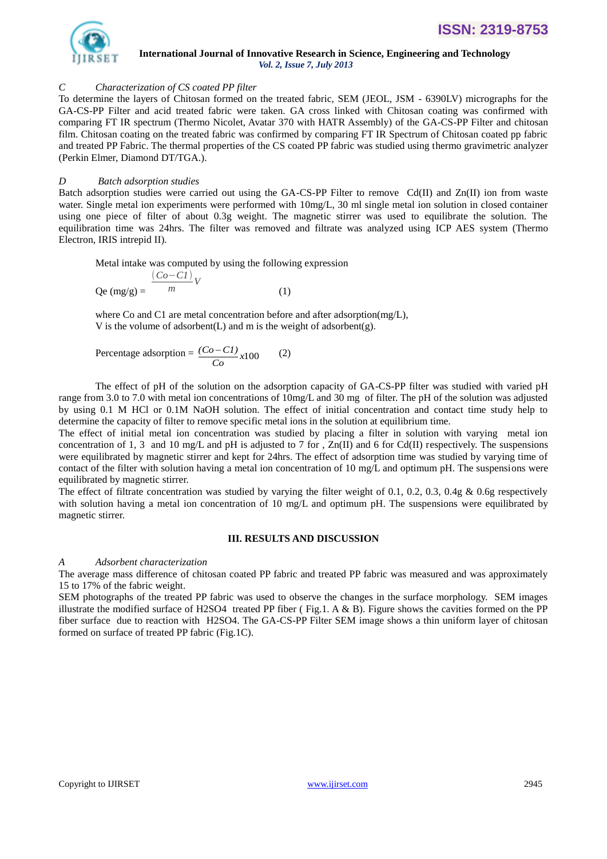

**ISSN: 2319-8753**

## *C Characterization of CS coated PP filter*

To determine the layers of Chitosan formed on the treated fabric, SEM (JEOL, JSM - 6390LV) micrographs for the GA-CS-PP Filter and acid treated fabric were taken. GA cross linked with Chitosan coating was confirmed with comparing FT IR spectrum (Thermo Nicolet, Avatar 370 with HATR Assembly) of the GA-CS-PP Filter and chitosan film. Chitosan coating on the treated fabric was confirmed by comparing FT IR Spectrum of Chitosan coated pp fabric and treated PP Fabric. The thermal properties of the CS coated PP fabric was studied using thermo gravimetric analyzer (Perkin Elmer, Diamond DT/TGA.).

## *D Batch adsorption studies*

Batch adsorption studies were carried out using the GA-CS-PP Filter to remove Cd(II) and Zn(II) ion from waste water. Single metal ion experiments were performed with  $10mg/L$ , 30 ml single metal ion solution in closed container using one piece of filter of about 0.3g weight. The magnetic stirrer was used to equilibrate the solution. The equilibration time was 24hrs. The filter was removed and filtrate was analyzed using ICP AES system (Thermo Electron, IRIS intrepid II).

Metal intake was computed by using the following expression

$$
Qe (mg/g) = \frac{(Co-CI)}{m}V
$$
 (1)

where Co and C1 are metal concentration before and after adsorption(mg/L), V is the volume of adsorbent(L) and m is the weight of adsorbent(g).

Percentage adsorption = 
$$
\frac{(Co - CI)}{Co}x100
$$
 (2)

The effect of pH of the solution on the adsorption capacity of GA-CS-PP filter was studied with varied pH range from 3.0 to 7.0 with metal ion concentrations of 10mg/L and 30 mg of filter. The pH of the solution was adjusted by using 0.1 M HCl or 0.1M NaOH solution. The effect of initial concentration and contact time study help to determine the capacity of filter to remove specific metal ions in the solution at equilibrium time.

The effect of initial metal ion concentration was studied by placing a filter in solution with varying metal ion concentration of 1, 3 and 10 mg/L and pH is adjusted to 7 for ,  $Zn(II)$  and 6 for Cd(II) respectively. The suspensions were equilibrated by magnetic stirrer and kept for 24hrs. The effect of adsorption time was studied by varying time of contact of the filter with solution having a metal ion concentration of 10 mg/L and optimum pH. The suspensions were equilibrated by magnetic stirrer.

The effect of filtrate concentration was studied by varying the filter weight of 0.1, 0.2, 0.3, 0.4g  $\&$  0.6g respectively with solution having a metal ion concentration of 10 mg/L and optimum pH. The suspensions were equilibrated by magnetic stirrer.

### **III. RESULTS AND DISCUSSION**

## *A Adsorbent characterization*

The average mass difference of chitosan coated PP fabric and treated PP fabric was measured and was approximately 15 to 17% of the fabric weight.

SEM photographs of the treated PP fabric was used to observe the changes in the surface morphology. SEM images illustrate the modified surface of H2SO4 treated PP fiber (Fig.1. A  $\&$  B). Figure shows the cavities formed on the PP fiber surface due to reaction with H2SO4. The GA-CS-PP Filter SEM image shows a thin uniform layer of chitosan formed on surface of treated PP fabric (Fig.1C).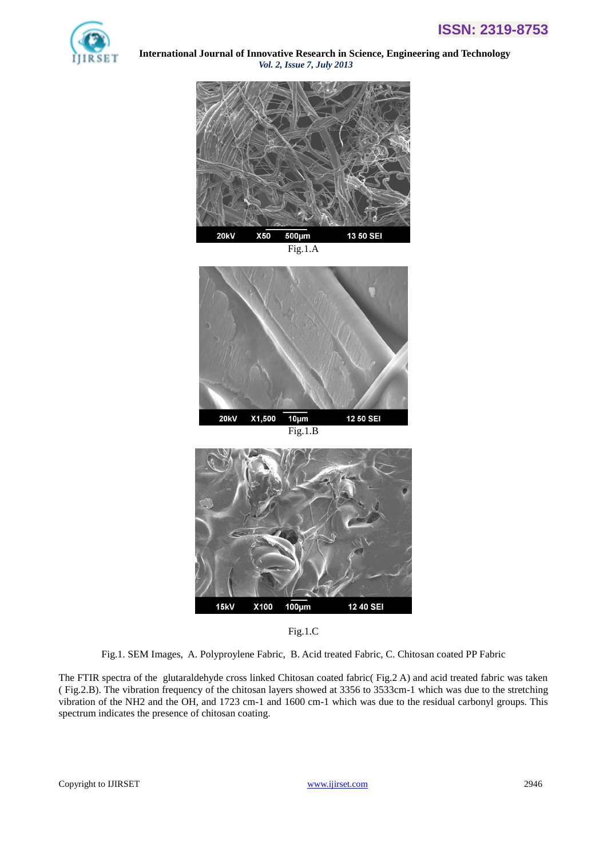



Fig.1.A







Fig.1. SEM Images, A. Polyproylene Fabric, B. Acid treated Fabric, C. Chitosan coated PP Fabric

The FTIR spectra of the glutaraldehyde cross linked Chitosan coated fabric( Fig.2 A) and acid treated fabric was taken ( Fig.2.B). The vibration frequency of the chitosan layers showed at 3356 to 3533cm-1 which was due to the stretching vibration of the NH2 and the OH, and 1723 cm-1 and 1600 cm-1 which was due to the residual carbonyl groups. This spectrum indicates the presence of chitosan coating.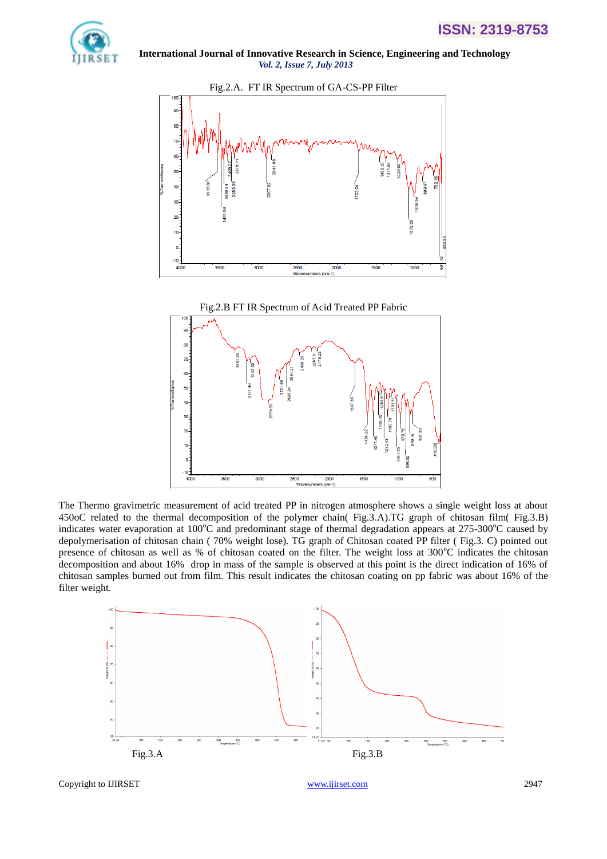



The Thermo gravimetric measurement of acid treated PP in nitrogen atmosphere shows a single weight loss at about 450oC related to the thermal decomposition of the polymer chain( Fig.3.A).TG graph of chitosan film( Fig.3.B) indicates water evaporation at  $100^{\circ}$ C and predominant stage of thermal degradation appears at  $275{\cdot}300^{\circ}$ C caused by depolymerisation of chitosan chain ( 70% weight lose). TG graph of Chitosan coated PP filter ( Fig.3. C) pointed out presence of chitosan as well as % of chitosan coated on the filter. The weight loss at  $300^{\circ}$ C indicates the chitosan decomposition and about 16% drop in mass of the sample is observed at this point is the direct indication of 16% of chitosan samples burned out from film. This result indicates the chitosan coating on pp fabric was about 16% of the filter weight.

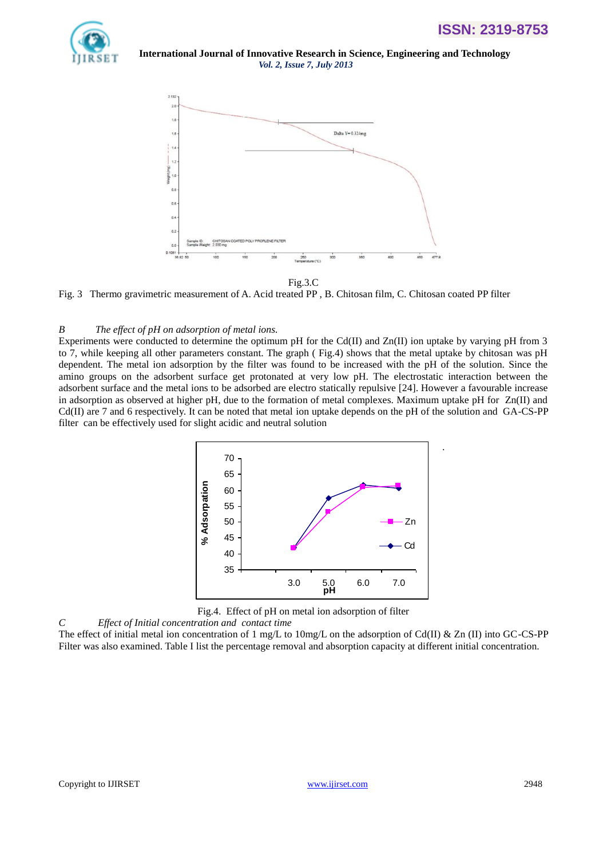.



 **International Journal of Innovative Research in Science, Engineering and Technology** *Vol. 2, Issue 7, July 2013*



Fig.3.C

Fig. 3 Thermo gravimetric measurement of A. Acid treated PP , B. Chitosan film, C. Chitosan coated PP filter

## *B The effect of pH on adsorption of metal ions.*

Experiments were conducted to determine the optimum pH for the Cd(II) and  $Zn(II)$  ion uptake by varying pH from 3 to 7, while keeping all other parameters constant. The graph ( Fig.4) shows that the metal uptake by chitosan was pH dependent. The metal ion adsorption by the filter was found to be increased with the pH of the solution. Since the amino groups on the adsorbent surface get protonated at very low pH. The electrostatic interaction between the adsorbent surface and the metal ions to be adsorbed are electro statically repulsive [24]. However a favourable increase in adsorption as observed at higher pH, due to the formation of metal complexes. Maximum uptake pH for Zn(II) and Cd(II) are 7 and 6 respectively. It can be noted that metal ion uptake depends on the pH of the solution and GA-CS-PP filter can be effectively used for slight acidic and neutral solution



Fig.4. Effect of pH on metal ion adsorption of filter

*C Effect of Initial concentration and contact time*  The effect of initial metal ion concentration of 1 mg/L to 10mg/L on the adsorption of Cd(II) & Zn (II) into GC-CS-PP Filter was also examined. Table I list the percentage removal and absorption capacity at different initial concentration.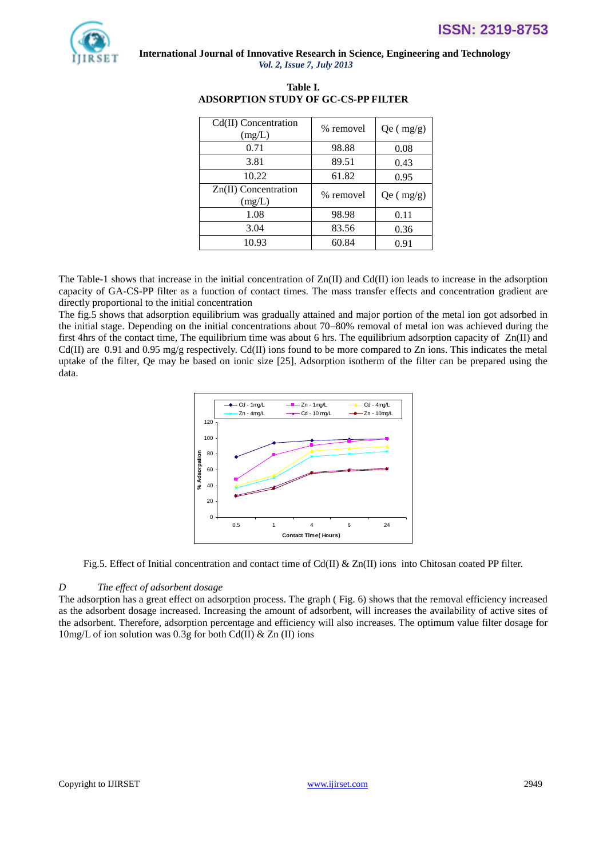

| Cd(II) Concentration<br>(mg/L) | % removel | Qe (mg/g) |
|--------------------------------|-----------|-----------|
| 0.71                           | 98.88     | 0.08      |
| 3.81                           | 89.51     | 0.43      |
| 10.22                          | 61.82     | 0.95      |
|                                |           |           |
| Zn(II) Concentration<br>(mg/L) | % removel | Qe (mg/g) |
| 1.08                           | 98.98     | 0.11      |
| 3.04                           | 83.56     | 0.36      |

**Table I. ADSORPTION STUDY OF GC-CS-PP FILTER**

The Table-1 shows that increase in the initial concentration of  $Zn(\Pi)$  and  $Cd(\Pi)$  ion leads to increase in the adsorption capacity of GA-CS-PP filter as a function of contact times. The mass transfer effects and concentration gradient are directly proportional to the initial concentration

The fig.5 shows that adsorption equilibrium was gradually attained and major portion of the metal ion got adsorbed in the initial stage. Depending on the initial concentrations about 70–80% removal of metal ion was achieved during the first 4hrs of the contact time, The equilibrium time was about 6 hrs. The equilibrium adsorption capacity of  $Zn(\Pi)$  and Cd(II) are 0.91 and 0.95 mg/g respectively. Cd(II) ions found to be more compared to Zn ions. This indicates the metal uptake of the filter, Qe may be based on ionic size [25]. Adsorption isotherm of the filter can be prepared using the data.



Fig.5. Effect of Initial concentration and contact time of Cd(II) & Zn(II) ions into Chitosan coated PP filter.

## *D The effect of adsorbent dosage*

The adsorption has a great effect on adsorption process. The graph ( Fig. 6) shows that the removal efficiency increased as the adsorbent dosage increased. Increasing the amount of adsorbent, will increases the availability of active sites of the adsorbent. Therefore, adsorption percentage and efficiency will also increases. The optimum value filter dosage for 10mg/L of ion solution was 0.3g for both Cd(II) & Zn (II) ions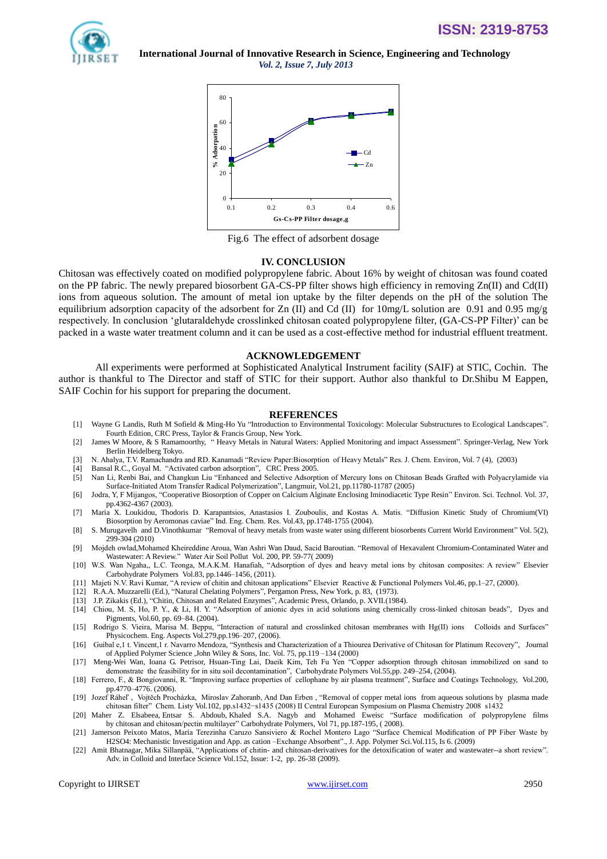

**ISSN: 2319-8753**

*Vol. 2, Issue 7, July 2013*



Fig.6 The effect of adsorbent dosage

#### **IV. CONCLUSION**

Chitosan was effectively coated on modified polypropylene fabric. About 16% by weight of chitosan was found coated on the PP fabric. The newly prepared biosorbent GA-CS-PP filter shows high efficiency in removing Zn(II) and Cd(II) ions from aqueous solution. The amount of metal ion uptake by the filter depends on the pH of the solution The equilibrium adsorption capacity of the adsorbent for Zn (II) and Cd (II) for  $10 \text{mg/L}$  solution are 0.91 and 0.95 mg/g respectively. In conclusion "glutaraldehyde crosslinked chitosan coated polypropylene filter, (GA-CS-PP Filter)" can be packed in a waste water treatment column and it can be used as a cost-effective method for industrial effluent treatment.

### **ACKNOWLEDGEMENT**

All experiments were performed at Sophisticated Analytical Instrument facility (SAIF) at STIC, Cochin. The author is thankful to The Director and staff of STIC for their support. Author also thankful to Dr.Shibu M Eappen, SAIF Cochin for his support for preparing the document.

#### **REFERENCES**

- [1] Wayne G Landis, Ruth M Sofield & Ming-Ho Yu "Introduction to Environmental Toxicology: Molecular Substructures to Ecological Landscapes". Fourth Edition, CRC Press, Taylor & Francis Group, New York.
- [2] James W Moore, & S Ramamoorthy, " Heavy Metals in Natural Waters: Applied Monitoring and impact Assessment". Springer-Verlag, New York Berlin Heidelberg Tokyo.
- [3] N. Ahalya, T.V. Ramachandra and RD. Kanamadi "Review Paper:Biosorption of Heavy Metals" Res. J. Chem. Environ, Vol. 7 (4), (2003)
- [4] Bansal R.C., Goyal M. "Activated carbon adsorption", CRC Press 2005.
- [5] Nan Li, Renbi Bai, and Changkun Liu "Enhanced and Selective Adsorption of Mercury Ions on Chitosan Beads Grafted with Polyacrylamide via Surface-Initiated Atom Transfer Radical Polymerization", Langmuir, Vol.21, pp.11780-11787 (2005)
- [6] Jodra, Y, F Mijangos, ["Cooperative Biosorption of Copper on Calcium Alginate Enclosing Iminodiacetic Type Resin"](http://pubs.acs.org/doi/abs/10.1021/es020192t) Environ. Sci. Technol. Vol. 37, pp.4362-4367 (2003).
- [7] Maria X. Loukidou, Thodoris D. Karapantsios, Anastasios I. Zouboulis, and Kostas A. Matis. ["Diffusion Kinetic Study of Chromium\(VI\)](http://pubs.acs.org/doi/abs/10.1021/ie034132n)  Biosorption by [Aeromonas caviae"](http://pubs.acs.org/doi/abs/10.1021/ie034132n) Ind. Eng. Chem. Res. Vol.43, pp.1748-1755 (2004).
- [8] S. Murugavelh and D.Vinothkumar "Removal of heavy metals from waste water using different biosorbents Current World Environment" Vol. 5(2), 299-304 (2010)
- [9] Mojdeh owlad,Mohamed Kheireddine Aroua, Wan Ashri Wan Daud, Sacid Baroutian. ["Removal of Hexavalent Chromium-Contaminated Water and](http://link.springer.com/article/10.1007/s11270-008-9893-7)  [Wastewater: A Review."](http://link.springer.com/article/10.1007/s11270-008-9893-7) Water Air Soil Pollut Vol. 200, PP. 59-77( 2009)
- [10] W.S. Wan Ngaha,, L.C. Teonga, M.A.K.M. Hanafiah, "Adsorption of dyes and heavy metal ions by chitosan composites: A review" Elsevier Carbohydrate Polymers Vol.83, pp.1446–1456, (2011).
- [11] Majeti N.V. Ravi Kumar, "A review of chitin and chitosan applications" Elsevier Reactive & Functional Polymers Vol.46, pp.1–27, (2000).
- [12] R.A.A. Muzzarelli (Ed.), "Natural Chelating Polymers", Pergamon Press, New York, p. 83, (1973).
- [13] J.P. Zikakis (Ed.), "Chitin, Chitosan and Related Enzymes", Academic Press, Orlando, p. XVII.(1984).
- [14] Chiou, M. S, Ho, P. Y., & Li, H. Y. "Adsorption of anionic dyes in acid solutions using chemically cross-linked chitosan beads", Dyes and Pigments, Vol.60, pp. 69–84. (2004).
- [15] Rodrigo S. Vieira, Marisa M. Beppu, "Interaction of natural and crosslinked chitosan membranes with Hg(II) ions Colloids and Surfaces" Physicochem. Eng. Aspects Vol.279,pp.196–207, (2006).

[16] Guibal e,1 t. Vincent, I r. Navarro Mendoza, "Synthesis and Characterization of a Thiourea Derivative of Chitosan for Platinum Recovery", Journal of Applied Polymer Science ,John Wiley & Sons, Inc. Vol. 75, pp.119 –134 (2000)

- [17] Meng-Wei Wan, Ioana G. Petrisor, Hsuan-Ting Lai, Daeik Kim, Teh Fu Yen "Copper adsorption through chitosan immobilized on sand to demonstrate the feasibility for in situ soil decontamination", Carbohydrate Polymers Vol.55,pp. 249–254, (2004).
- [18] Ferrero, F., & Bongiovanni, R. "Improving surface properties of cellophane by air plasma treatment", Surface and Coatings Technology, Vol.200, pp.4770–4776. (2006).
- [19] Jozef Ráheľ , Vojtěch Procházka, Miroslav Zahoranb, And Dan Erben , "Removal of copper metal ions from aqueous solutions by plasma made chitosan filter" Chem. Listy Vol.102, pp.s1432−s1435 (2008) II Central European Symposium on Plasma Chemistry 2008 s1432
- [20] [Maher Z. Elsabeea,](http://www.sciencedirect.com/science?_ob=RedirectURL&_method=outwardLink&_partnerName=27983&_origin=article&_zone=art_page&_linkType=scopusAuthorDocuments&_targetURL=http%3A%2F%2Fwww.scopus.com%2Fscopus%2Finward%2Fauthor.url%3FpartnerID%3D10%26rel%3D3.0.0%26sortField%3Dcited%26sortOrder%3Dasc%26author%3DElsabee,%2520Maher%2520Z.%26authorID%3D7003985688%26md5%3D76433855afada6a0ad1b4b3be4a7950a&_acct=C000056699&_version=1&_userid=2241385&md5=94961396024f001a6c39656586d7b11f) [Entsar S. Abdoub,](http://www.sciencedirect.com/science?_ob=RedirectURL&_method=outwardLink&_partnerName=27983&_origin=article&_zone=art_page&_linkType=scopusAuthorDocuments&_targetURL=http%3A%2F%2Fwww.scopus.com%2Fscopus%2Finward%2Fauthor.url%3FpartnerID%3D10%26rel%3D3.0.0%26sortField%3Dcited%26sortOrder%3Dasc%26author%3DAbdou,%2520Entsar%2520S.%26authorID%3D22978615000%26md5%3D944e97061c228f7fd441134ab41b9977&_acct=C000056699&_version=1&_userid=2241385&md5=d09eb84685f1c8825a7ec88cef223f06) [Khaled S.A. Nagyb](http://www.sciencedirect.com/science?_ob=RedirectURL&_method=outwardLink&_partnerName=27983&_origin=article&_zone=art_page&_linkType=scopusAuthorDocuments&_targetURL=http%3A%2F%2Fwww.scopus.com%2Fscopus%2Finward%2Fauthor.url%3FpartnerID%3D10%26rel%3D3.0.0%26sortField%3Dcited%26sortOrder%3Dasc%26author%3DNagy,%2520Khaled%2520S.A.%26authorID%3D22980981600%26md5%3Dee72bb2c40359cd30782bdf5887f9001&_acct=C000056699&_version=1&_userid=2241385&md5=6e16344ca59f42623a6998aeb3877ed1) and [Mohamed Eweisc](http://www.sciencedirect.com/science?_ob=RedirectURL&_method=outwardLink&_partnerName=27983&_origin=article&_zone=art_page&_linkType=scopusAuthorDocuments&_targetURL=http%3A%2F%2Fwww.scopus.com%2Fscopus%2Finward%2Fauthor.url%3FpartnerID%3D10%26rel%3D3.0.0%26sortField%3Dcited%26sortOrder%3Dasc%26author%3DEweis,%2520Mohamed%26authorID%3D14119449100%26md5%3Da37298e1e97f93978e17250ac65ccf28&_acct=C000056699&_version=1&_userid=2241385&md5=b4486ee1f177d4753dd8b442268eef66) "Surface modification of polypropylene films by chitosan and chitosan/pectin multilayer[" Carbohydrate Polymers,](http://www.sciencedirect.com/science/journal/01448617) [Vol 71,](http://www.sciencedirect.com/science?_ob=PublicationURL&_hubEid=1-s2.0-S0144861707X02777&_cid=271345&_pubType=JL&view=c&_auth=y&_acct=C000056699&_version=1&_urlVersion=0&_userid=2241385&md5=6f84a734d0c40290c42ac597a5927acc) pp.187-195, ( 2008).
- [21] Jamerson Peixoto Matos, Maria Terezinha Caruzo Sansiviero & Rochel Montero Lago "Surface Chemical Modification of PP Fiber Waste by H2SO4: Mechanistic Investigation and App. as cation –Exchange Absorbent".[, J. App. Polymer Sci.Vol.115, Is 6.](http://onlinelibrary.wiley.com/journal/10.1002/(ISSN)1097-4628) (2009)
- [22] Amit Bhatnagar, Mika Sillanpää, "Applications of chitin- and chitosan-derivatives for the detoxification of water and wastewater--a short review". Adv. in Colloid and Interface Science Vol.152, Issue: 1-2, pp. 26-38 (2009).